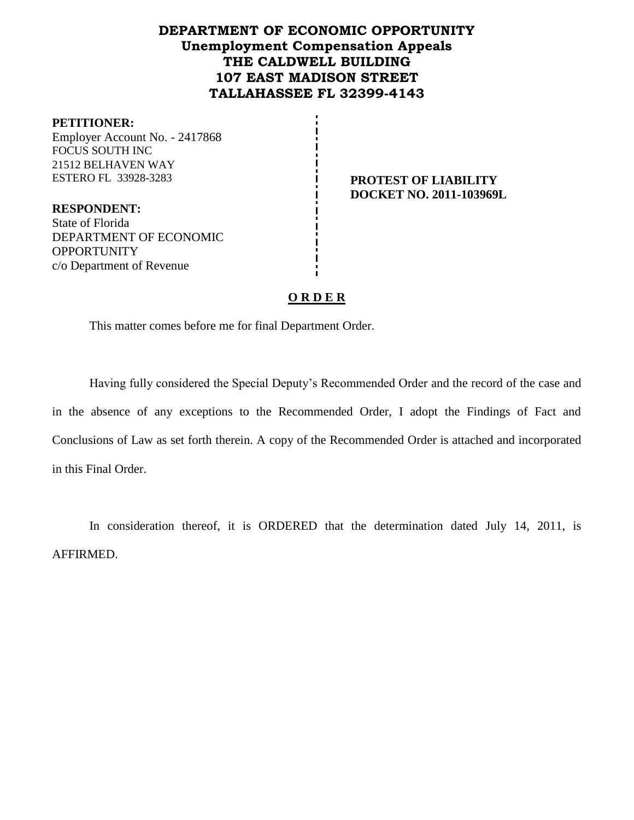## **DEPARTMENT OF ECONOMIC OPPORTUNITY Unemployment Compensation Appeals THE CALDWELL BUILDING 107 EAST MADISON STREET TALLAHASSEE FL 32399-4143**

#### **PETITIONER:**

Employer Account No. - 2417868 FOCUS SOUTH INC 21512 BELHAVEN WAY ESTERO FL 33928-3283 **PROTEST OF LIABILITY** 

**DOCKET NO. 2011-103969L**

**RESPONDENT:** State of Florida DEPARTMENT OF ECONOMIC **OPPORTUNITY** c/o Department of Revenue

### **O R D E R**

This matter comes before me for final Department Order.

Having fully considered the Special Deputy's Recommended Order and the record of the case and in the absence of any exceptions to the Recommended Order, I adopt the Findings of Fact and Conclusions of Law as set forth therein. A copy of the Recommended Order is attached and incorporated in this Final Order.

In consideration thereof, it is ORDERED that the determination dated July 14, 2011, is AFFIRMED.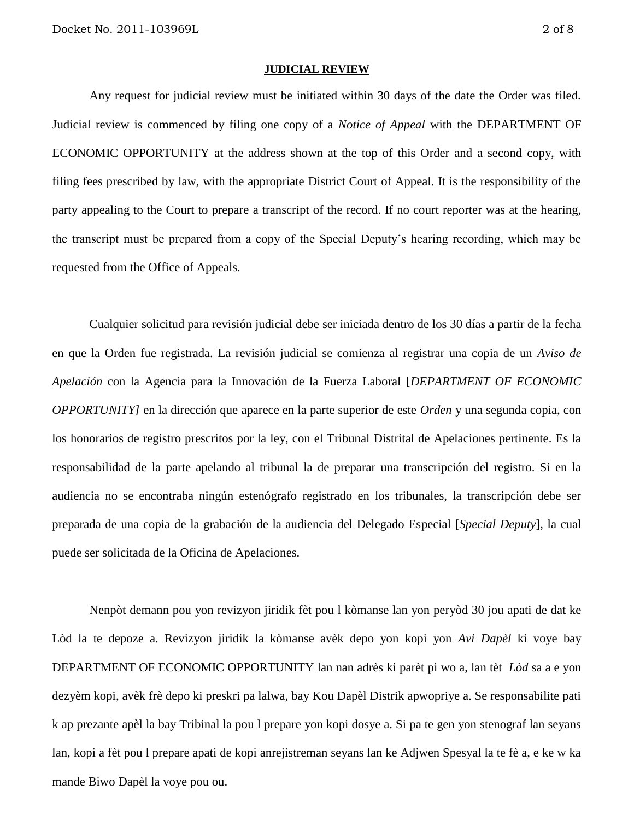#### **JUDICIAL REVIEW**

Any request for judicial review must be initiated within 30 days of the date the Order was filed. Judicial review is commenced by filing one copy of a *Notice of Appeal* with the DEPARTMENT OF ECONOMIC OPPORTUNITY at the address shown at the top of this Order and a second copy, with filing fees prescribed by law, with the appropriate District Court of Appeal. It is the responsibility of the party appealing to the Court to prepare a transcript of the record. If no court reporter was at the hearing, the transcript must be prepared from a copy of the Special Deputy's hearing recording, which may be requested from the Office of Appeals.

Cualquier solicitud para revisión judicial debe ser iniciada dentro de los 30 días a partir de la fecha en que la Orden fue registrada. La revisión judicial se comienza al registrar una copia de un *Aviso de Apelación* con la Agencia para la Innovación de la Fuerza Laboral [*DEPARTMENT OF ECONOMIC OPPORTUNITY]* en la dirección que aparece en la parte superior de este *Orden* y una segunda copia, con los honorarios de registro prescritos por la ley, con el Tribunal Distrital de Apelaciones pertinente. Es la responsabilidad de la parte apelando al tribunal la de preparar una transcripción del registro. Si en la audiencia no se encontraba ningún estenógrafo registrado en los tribunales, la transcripción debe ser preparada de una copia de la grabación de la audiencia del Delegado Especial [*Special Deputy*], la cual puede ser solicitada de la Oficina de Apelaciones.

Nenpòt demann pou yon revizyon jiridik fèt pou l kòmanse lan yon peryòd 30 jou apati de dat ke Lòd la te depoze a. Revizyon jiridik la kòmanse avèk depo yon kopi yon *Avi Dapèl* ki voye bay DEPARTMENT OF ECONOMIC OPPORTUNITY lan nan adrès ki parèt pi wo a, lan tèt *Lòd* sa a e yon dezyèm kopi, avèk frè depo ki preskri pa lalwa, bay Kou Dapèl Distrik apwopriye a. Se responsabilite pati k ap prezante apèl la bay Tribinal la pou l prepare yon kopi dosye a. Si pa te gen yon stenograf lan seyans lan, kopi a fèt pou l prepare apati de kopi anrejistreman seyans lan ke Adjwen Spesyal la te fè a, e ke w ka mande Biwo Dapèl la voye pou ou.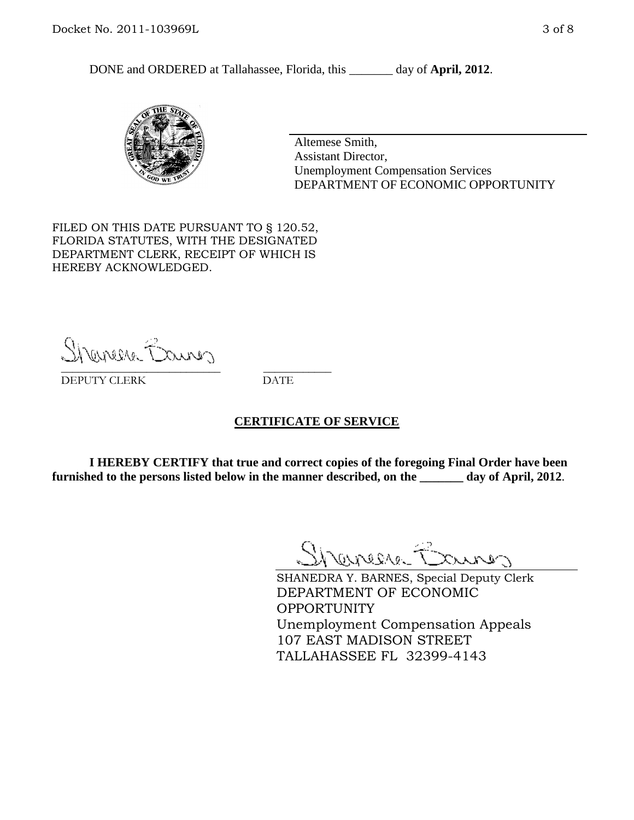DONE and ORDERED at Tallahassee, Florida, this day of **April, 2012**.



Altemese Smith, Assistant Director, Unemployment Compensation Services DEPARTMENT OF ECONOMIC OPPORTUNITY

FILED ON THIS DATE PURSUANT TO § 120.52, FLORIDA STATUTES, WITH THE DESIGNATED DEPARTMENT CLERK, RECEIPT OF WHICH IS HEREBY ACKNOWLEDGED.

Sherman Barnes \_\_\_\_\_\_\_\_\_\_\_\_\_\_\_\_\_\_\_\_\_\_\_\_\_\_\_\_ \_\_\_\_\_\_\_\_\_\_\_\_

DEPUTY CLERK DATE

#### **CERTIFICATE OF SERVICE**

**I HEREBY CERTIFY that true and correct copies of the foregoing Final Order have been furnished to the persons listed below in the manner described, on the \_\_\_\_\_\_\_ day of April, 2012**.

Shaner Barnes

SHANEDRA Y. BARNES, Special Deputy Clerk DEPARTMENT OF ECONOMIC OPPORTUNITY Unemployment Compensation Appeals 107 EAST MADISON STREET TALLAHASSEE FL 32399-4143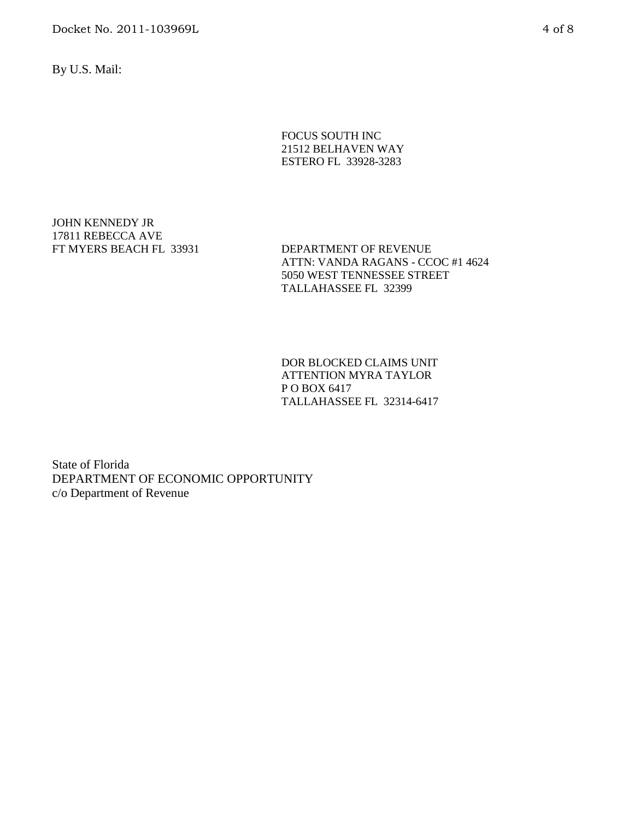Docket No. 2011-103969L 4 of 8

By U.S. Mail:

#### FOCUS SOUTH INC 21512 BELHAVEN WAY ESTERO FL 33928-3283

JOHN KENNEDY JR 17811 REBECCA AVE<br>FT MYERS BEACH FL 33931

DEPARTMENT OF REVENUE ATTN: VANDA RAGANS - CCOC #1 4624 5050 WEST TENNESSEE STREET TALLAHASSEE FL 32399

DOR BLOCKED CLAIMS UNIT ATTENTION MYRA TAYLOR P O BOX 6417 TALLAHASSEE FL 32314-6417

State of Florida DEPARTMENT OF ECONOMIC OPPORTUNITY c/o Department of Revenue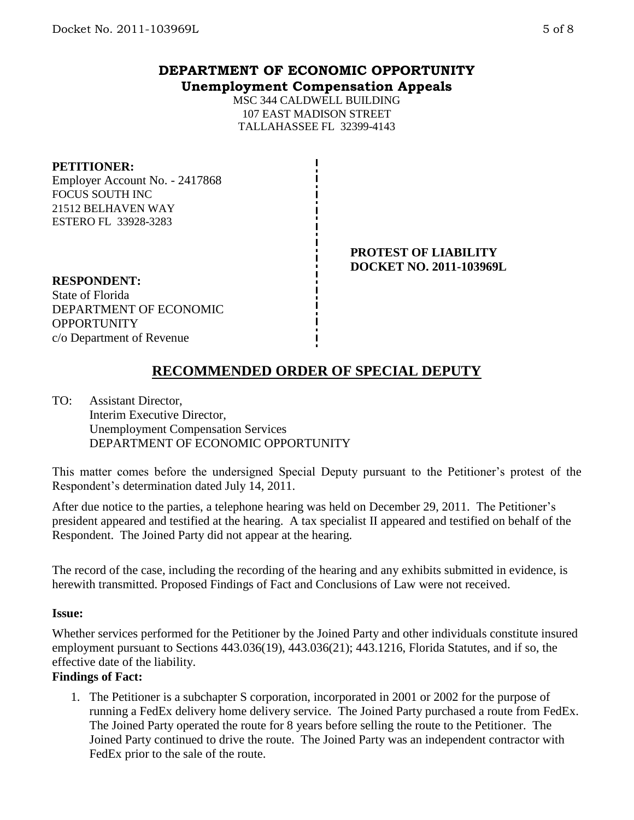## **DEPARTMENT OF ECONOMIC OPPORTUNITY Unemployment Compensation Appeals**

MSC 344 CALDWELL BUILDING 107 EAST MADISON STREET TALLAHASSEE FL 32399-4143

#### **PETITIONER:**

Employer Account No. - 2417868 FOCUS SOUTH INC 21512 BELHAVEN WAY ESTERO FL 33928-3283

#### **PROTEST OF LIABILITY DOCKET NO. 2011-103969L**

**RESPONDENT:** State of Florida DEPARTMENT OF ECONOMIC **OPPORTUNITY** c/o Department of Revenue

# **RECOMMENDED ORDER OF SPECIAL DEPUTY**

TO: Assistant Director, Interim Executive Director, Unemployment Compensation Services DEPARTMENT OF ECONOMIC OPPORTUNITY

This matter comes before the undersigned Special Deputy pursuant to the Petitioner's protest of the Respondent's determination dated July 14, 2011.

After due notice to the parties, a telephone hearing was held on December 29, 2011. The Petitioner's president appeared and testified at the hearing. A tax specialist II appeared and testified on behalf of the Respondent. The Joined Party did not appear at the hearing.

The record of the case, including the recording of the hearing and any exhibits submitted in evidence, is herewith transmitted. Proposed Findings of Fact and Conclusions of Law were not received.

#### **Issue:**

Whether services performed for the Petitioner by the Joined Party and other individuals constitute insured employment pursuant to Sections 443.036(19), 443.036(21); 443.1216, Florida Statutes, and if so, the effective date of the liability.

### **Findings of Fact:**

1. The Petitioner is a subchapter S corporation, incorporated in 2001 or 2002 for the purpose of running a FedEx delivery home delivery service. The Joined Party purchased a route from FedEx. The Joined Party operated the route for 8 years before selling the route to the Petitioner. The Joined Party continued to drive the route. The Joined Party was an independent contractor with FedEx prior to the sale of the route.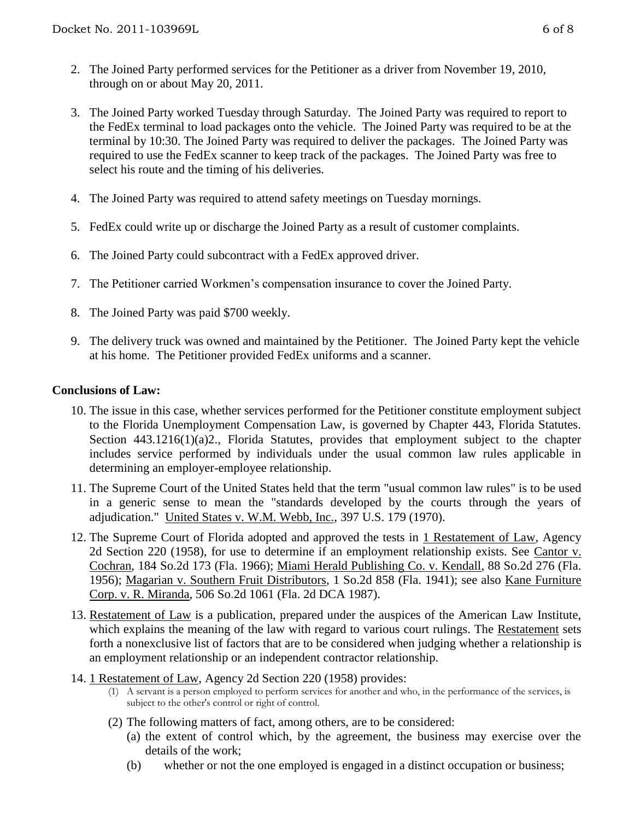- 2. The Joined Party performed services for the Petitioner as a driver from November 19, 2010, through on or about May 20, 2011.
- 3. The Joined Party worked Tuesday through Saturday. The Joined Party was required to report to the FedEx terminal to load packages onto the vehicle. The Joined Party was required to be at the terminal by 10:30. The Joined Party was required to deliver the packages. The Joined Party was required to use the FedEx scanner to keep track of the packages. The Joined Party was free to select his route and the timing of his deliveries.
- 4. The Joined Party was required to attend safety meetings on Tuesday mornings.
- 5. FedEx could write up or discharge the Joined Party as a result of customer complaints.
- 6. The Joined Party could subcontract with a FedEx approved driver.
- 7. The Petitioner carried Workmen's compensation insurance to cover the Joined Party.
- 8. The Joined Party was paid \$700 weekly.
- 9. The delivery truck was owned and maintained by the Petitioner. The Joined Party kept the vehicle at his home. The Petitioner provided FedEx uniforms and a scanner.

### **Conclusions of Law:**

- 10. The issue in this case, whether services performed for the Petitioner constitute employment subject to the Florida Unemployment Compensation Law, is governed by Chapter 443, Florida Statutes. Section 443.1216(1)(a)2., Florida Statutes, provides that employment subject to the chapter includes service performed by individuals under the usual common law rules applicable in determining an employer-employee relationship.
- 11. The Supreme Court of the United States held that the term "usual common law rules" is to be used in a generic sense to mean the "standards developed by the courts through the years of adjudication." United States v. W.M. Webb, Inc., 397 U.S. 179 (1970).
- 12. The Supreme Court of Florida adopted and approved the tests in 1 Restatement of Law, Agency 2d Section 220 (1958), for use to determine if an employment relationship exists. See Cantor v. Cochran, 184 So.2d 173 (Fla. 1966); Miami Herald Publishing Co. v. Kendall, 88 So.2d 276 (Fla. 1956); Magarian v. Southern Fruit Distributors, 1 So.2d 858 (Fla. 1941); see also Kane Furniture Corp. v. R. Miranda, 506 So.2d 1061 (Fla. 2d DCA 1987).
- 13. Restatement of Law is a publication, prepared under the auspices of the American Law Institute, which explains the meaning of the law with regard to various court rulings. The Restatement sets forth a nonexclusive list of factors that are to be considered when judging whether a relationship is an employment relationship or an independent contractor relationship.
- 14. 1 Restatement of Law, Agency 2d Section 220 (1958) provides:
	- (1) A servant is a person employed to perform services for another and who, in the performance of the services, is subject to the other's control or right of control.
	- (2) The following matters of fact, among others, are to be considered:
		- (a) the extent of control which, by the agreement, the business may exercise over the details of the work;
		- (b) whether or not the one employed is engaged in a distinct occupation or business;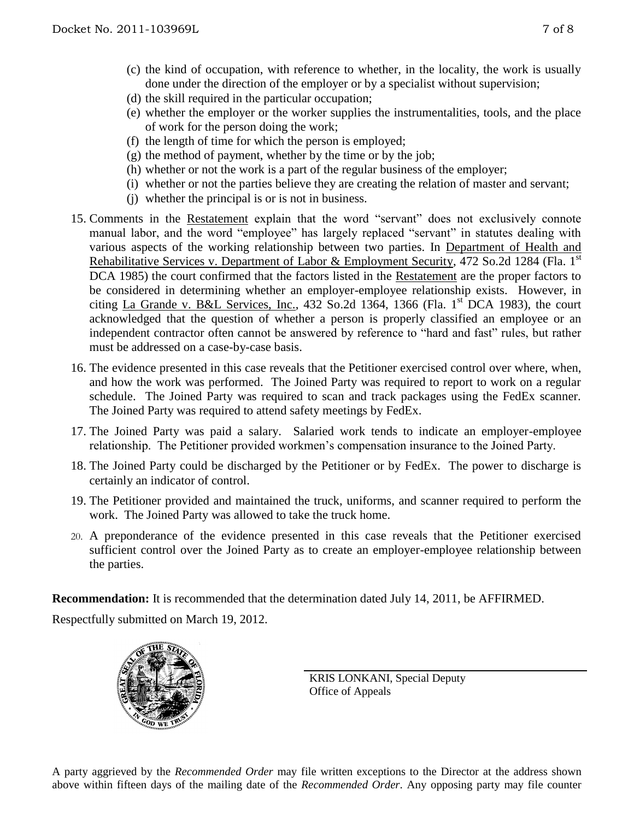- (c) the kind of occupation, with reference to whether, in the locality, the work is usually done under the direction of the employer or by a specialist without supervision;
- (d) the skill required in the particular occupation;
- (e) whether the employer or the worker supplies the instrumentalities, tools, and the place of work for the person doing the work;
- (f) the length of time for which the person is employed;
- $(g)$  the method of payment, whether by the time or by the job;
- (h) whether or not the work is a part of the regular business of the employer;
- (i) whether or not the parties believe they are creating the relation of master and servant;
- (j) whether the principal is or is not in business.
- 15. Comments in the Restatement explain that the word "servant" does not exclusively connote manual labor, and the word "employee" has largely replaced "servant" in statutes dealing with various aspects of the working relationship between two parties. In Department of Health and Rehabilitative Services v. Department of Labor & Employment Security, 472 So.2d 1284 (Fla. 1st DCA 1985) the court confirmed that the factors listed in the Restatement are the proper factors to be considered in determining whether an employer-employee relationship exists. However, in citing La Grande v. B&L Services, Inc., 432 So.2d 1364, 1366 (Fla. 1st DCA 1983), the court acknowledged that the question of whether a person is properly classified an employee or an independent contractor often cannot be answered by reference to "hard and fast" rules, but rather must be addressed on a case-by-case basis.
- 16. The evidence presented in this case reveals that the Petitioner exercised control over where, when, and how the work was performed. The Joined Party was required to report to work on a regular schedule. The Joined Party was required to scan and track packages using the FedEx scanner. The Joined Party was required to attend safety meetings by FedEx.
- 17. The Joined Party was paid a salary. Salaried work tends to indicate an employer-employee relationship. The Petitioner provided workmen's compensation insurance to the Joined Party.
- 18. The Joined Party could be discharged by the Petitioner or by FedEx. The power to discharge is certainly an indicator of control.
- 19. The Petitioner provided and maintained the truck, uniforms, and scanner required to perform the work. The Joined Party was allowed to take the truck home.
- 20. A preponderance of the evidence presented in this case reveals that the Petitioner exercised sufficient control over the Joined Party as to create an employer-employee relationship between the parties.

**Recommendation:** It is recommended that the determination dated July 14, 2011, be AFFIRMED.

Respectfully submitted on March 19, 2012.



KRIS LONKANI, Special Deputy Office of Appeals

A party aggrieved by the *Recommended Order* may file written exceptions to the Director at the address shown above within fifteen days of the mailing date of the *Recommended Order*. Any opposing party may file counter